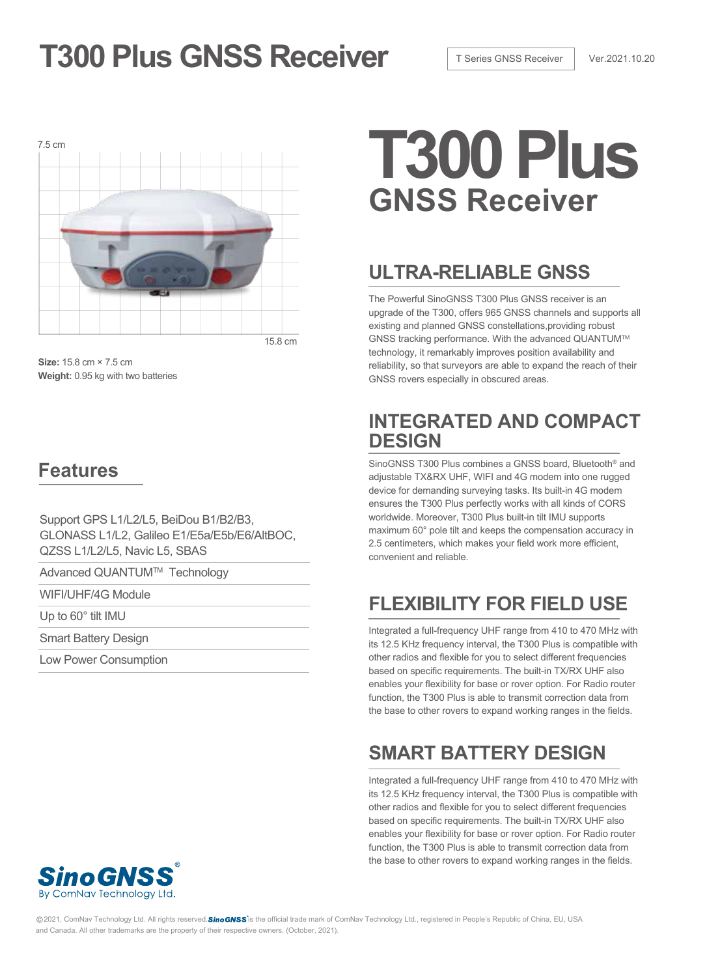# **T300 Plus GNSS Receiver T** Series GNSS Receiver Ver.2021.10.20



**Size:** 15.8 cm × 7.5 cm **Weight:** 0.95 kg with two batteries

## **Features**

Support GPS L1/L2/L5, BeiDou B1/B2/B3, GLONASS L1/L2, Galileo E1/E5a/E5b/E6/AltBOC, QZSS L1/L2/L5, Navic L5, SBAS

Advanced QUANTUM™ Technology

WIFI/UHF/4G Module

Up to 60° tilt IMU

Smart Battery Design

Low Power Consumption

# **GNSS Receiver**

# **ULTRA-RELIABLE GNSS**

The Powerful SinoGNSS T300 Plus GNSS receiver is an upgrade of the T300, offers 965 GNSS channels and supports all existing and planned GNSS constellations,providing robust GNSS tracking performance. With the advanced QUANTUMTM technology, it remarkably improves position availability and reliability, so that surveyors are able to expand the reach of their GNSS rovers especially in obscured areas.

## **INTEGRATED AND COMPACT DESIGN**

SinoGNSS T300 Plus combines a GNSS board, Bluetooth® and adjustable TX&RX UHF, WIFI and 4G modem into one rugged device for demanding surveying tasks. Its built-in 4G modem ensures the T300 Plus perfectly works with all kinds of CORS worldwide. Moreover, T300 Plus built-in tilt IMU supports maximum 60° pole tilt and keeps the compensation accuracy in 2.5 centimeters, which makes your field work more efficient, convenient and reliable.

# **FLEXIBILITY FOR FIELD USE**

Integrated a full-frequency UHF range from 410 to 470 MHz with its 12.5 KHz frequency interval, the T300 Plus is compatible with other radios and flexible for you to select different frequencies based on specific requirements. The built-in TX/RX UHF also enables your flexibility for base or rover option. For Radio router function, the T300 Plus is able to transmit correction data from the base to other rovers to expand working ranges in the fields.

# **SMART BATTERY DESIGN**

Integrated a full-frequency UHF range from 410 to 470 MHz with its 12.5 KHz frequency interval, the T300 Plus is compatible with other radios and flexible for you to select different frequencies based on specific requirements. The built-in TX/RX UHF also enables your flexibility for base or rover option. For Radio router function, the T300 Plus is able to transmit correction data from the base to other rovers to expand working ranges in the fields.



@2021, ComNav Technology Ltd. All rights reserved. Sino GNSS is the official trade mark of ComNav Technology Ltd., registered in People's Republic of China, EU, USA and Canada. All other trademarks are the property of their respective owners. (October, 2021).